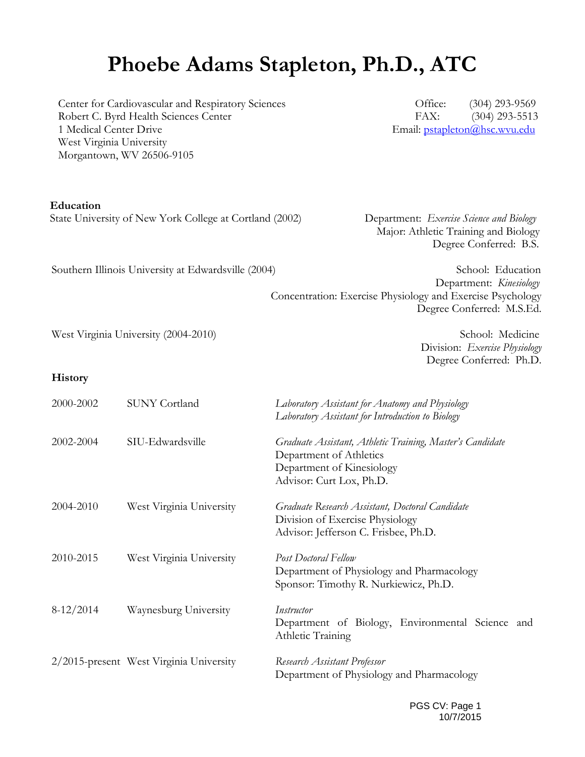# **Phoebe Adams Stapleton, Ph.D., ATC**

Center for Cardiovascular and Respiratory Sciences Robert C. Byrd Health Sciences Center 1 Medical Center Drive West Virginia University Morgantown, WV 26506-9105

**Education** 

State University of New York College at Cortland (2002) Department: *Exercise Science and Biology* 

 Office: (304) 293-9569 FAX: (304) 293-5513 Email: pstapleton@hsc.wvu.edu

 Major: Athletic Training and Biology Degree Conferred: B.S.

> Division: *Exercise Physiology* Degree Conferred: Ph.D.

Southern Illinois University at Edwardsville (2004) School: Education Department: *Kinesiology*  Concentration: Exercise Physiology and Exercise Psychology Degree Conferred: M.S.Ed.

West Virginia University (2004-2010) School: Medicine

**History** 

| 2000-2002   | <b>SUNY Cortland</b>                    | Laboratory Assistant for Anatomy and Physiology<br>Laboratory Assistant for Introduction to Biology                                           |
|-------------|-----------------------------------------|-----------------------------------------------------------------------------------------------------------------------------------------------|
| 2002-2004   | SIU-Edwardsville                        | Graduate Assistant, Athletic Training, Master's Candidate<br>Department of Athletics<br>Department of Kinesiology<br>Advisor: Curt Lox, Ph.D. |
| 2004-2010   | West Virginia University                | Graduate Research Assistant, Doctoral Candidate<br>Division of Exercise Physiology<br>Advisor: Jefferson C. Frisbee, Ph.D.                    |
| 2010-2015   | West Virginia University                | <b>Post Doctoral Fellow</b><br>Department of Physiology and Pharmacology<br>Sponsor: Timothy R. Nurkiewicz, Ph.D.                             |
| $8-12/2014$ | Waynesburg University                   | Instructor<br>Department of Biology, Environmental Science and<br>Athletic Training                                                           |
|             | 2/2015-present West Virginia University | Research Assistant Professor<br>Department of Physiology and Pharmacology                                                                     |

PGS CV: Page 1 10/7/2015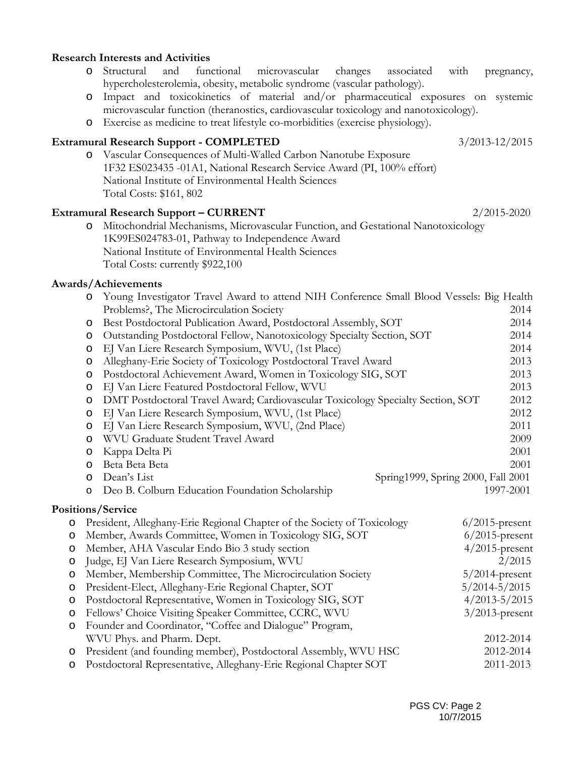## **Research Interests and Activities**

- o Structural and functional microvascular changes associated with pregnancy, hypercholesterolemia, obesity, metabolic syndrome (vascular pathology).
- o Impact and toxicokinetics of material and/or pharmaceutical exposures on systemic microvascular function (theranostics, cardiovascular toxicology and nanotoxicology).
- o Exercise as medicine to treat lifestyle co-morbidities (exercise physiology).

#### **Extramural Research Support - COMPLETED** 3/2013-12/2015

o Vascular Consequences of Multi-Walled Carbon Nanotube Exposure 1F32 ES023435 -01A1, National Research Service Award (PI, 100% effort) National Institute of Environmental Health Sciences Total Costs: \$161, 802

#### **Extramural Research Support – CURRENT** 2/2015-2020

o Mitochondrial Mechanisms, Microvascular Function, and Gestational Nanotoxicology 1K99ES024783-01, Pathway to Independence Award National Institute of Environmental Health Sciences Total Costs: currently \$922,100

# **Awards/Achievements**

|         | $\circ$                                                                                    | Young Investigator Travel Award to attend NIH Conference Small Blood Vessels: Big Health<br>Problems?, The Microcirculation Society | 2014                               |
|---------|--------------------------------------------------------------------------------------------|-------------------------------------------------------------------------------------------------------------------------------------|------------------------------------|
|         |                                                                                            | Best Postdoctoral Publication Award, Postdoctoral Assembly, SOT                                                                     | 2014                               |
|         | $\circ$                                                                                    | O<br>Outstanding Postdoctoral Fellow, Nanotoxicology Specialty Section, SOT                                                         |                                    |
|         | $\circ$                                                                                    | EJ Van Liere Research Symposium, WVU, (1st Place)                                                                                   | 2014<br>2014                       |
|         | $\circ$                                                                                    | Alleghany-Erie Society of Toxicology Postdoctoral Travel Award                                                                      | 2013                               |
|         | Postdoctoral Achievement Award, Women in Toxicology SIG, SOT                               |                                                                                                                                     | 2013                               |
|         | $\circ$                                                                                    | $\circ$<br>EJ Van Liere Featured Postdoctoral Fellow, WVU                                                                           |                                    |
|         | DMT Postdoctoral Travel Award; Cardiovascular Toxicology Specialty Section, SOT<br>$\circ$ |                                                                                                                                     | 2013<br>2012                       |
|         | $\circ$                                                                                    | EJ Van Liere Research Symposium, WVU, (1st Place)                                                                                   | 2012                               |
|         | $\circ$                                                                                    | EJ Van Liere Research Symposium, WVU, (2nd Place)                                                                                   | 2011                               |
|         | $\circ$                                                                                    | WVU Graduate Student Travel Award                                                                                                   | 2009                               |
|         | $\circ$                                                                                    | Kappa Delta Pi                                                                                                                      | 2001                               |
|         | $\circ$                                                                                    | Beta Beta Beta                                                                                                                      | 2001                               |
|         | $\circ$                                                                                    | Dean's List                                                                                                                         | Spring1999, Spring 2000, Fall 2001 |
|         | $\circ$                                                                                    | Deo B. Colburn Education Foundation Scholarship                                                                                     | 1997-2001                          |
|         |                                                                                            | Positions/Service                                                                                                                   |                                    |
| $\circ$ |                                                                                            | President, Alleghany-Erie Regional Chapter of the Society of Toxicology                                                             | $6/2015$ -present                  |
| $\circ$ |                                                                                            | Member, Awards Committee, Women in Toxicology SIG, SOT                                                                              | $6/2015$ -present                  |
| $\circ$ |                                                                                            | Member, AHA Vascular Endo Bio 3 study section                                                                                       | $4/2015$ -present                  |
| $\circ$ |                                                                                            | Judge, EJ Van Liere Research Symposium, WVU                                                                                         | 2/2015                             |
| $\circ$ |                                                                                            | Member, Membership Committee, The Microcirculation Society                                                                          | $5/2014$ -present                  |
| $\circ$ |                                                                                            | President-Elect, Alleghany-Erie Regional Chapter, SOT                                                                               | $5/2014 - 5/2015$                  |
| $\circ$ |                                                                                            | Postdoctoral Representative, Women in Toxicology SIG, SOT                                                                           | $4/2013 - 5/2015$                  |
| $\circ$ |                                                                                            | Fellows' Choice Visiting Speaker Committee, CCRC, WVU                                                                               | $3/2013$ -present                  |
| $\circ$ |                                                                                            | Founder and Coordinator, "Coffee and Dialogue" Program,                                                                             |                                    |
|         |                                                                                            | WVU Phys. and Pharm. Dept.                                                                                                          | 2012-2014                          |
| $\circ$ |                                                                                            | President (and founding member), Postdoctoral Assembly, WVU HSC                                                                     | 2012-2014                          |
| $\circ$ |                                                                                            | Postdoctoral Representative, Alleghany-Erie Regional Chapter SOT                                                                    | 2011-2013                          |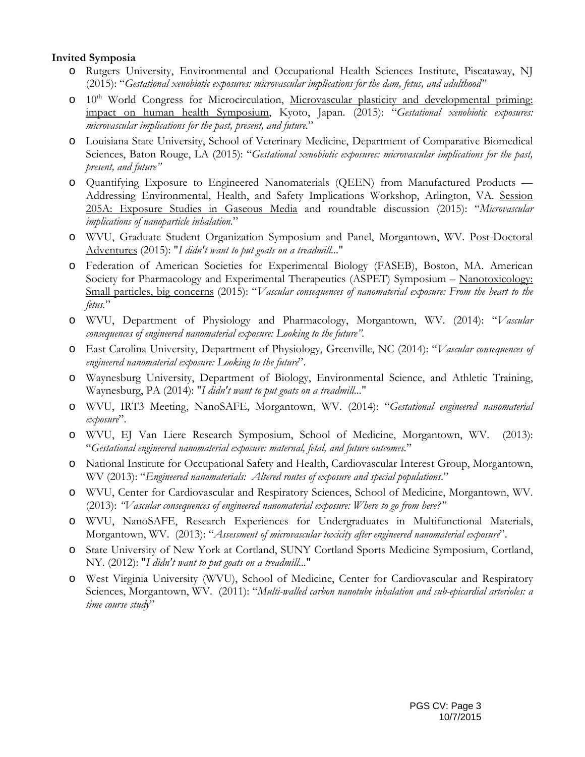## **Invited Symposia**

- o Rutgers University, Environmental and Occupational Health Sciences Institute, Piscataway, NJ (2015): "*Gestational xenobiotic exposures: microvascular implications for the dam, fetus, and adulthood"*
- o 10<sup>th</sup> World Congress for Microcirculation, Microvascular plasticity and developmental priming: impact on human health Symposium, Kyoto, Japan. (2015): "*Gestational xenobiotic exposures: microvascular implications for the past, present, and future.*"
- o Louisiana State University, School of Veterinary Medicine, Department of Comparative Biomedical Sciences, Baton Rouge, LA (2015): "*Gestational xenobiotic exposures: microvascular implications for the past, present, and future"*
- o Quantifying Exposure to Engineered Nanomaterials (QEEN) from Manufactured Products Addressing Environmental, Health, and Safety Implications Workshop, Arlington, VA. Session 205A: Exposure Studies in Gaseous Media and roundtable discussion (2015): "*Microvascular implications of nanoparticle inhalation.*"
- o WVU, Graduate Student Organization Symposium and Panel, Morgantown, WV. Post-Doctoral Adventures (2015): "*I didn't want to put goats on a treadmill...*"
- o Federation of American Societies for Experimental Biology (FASEB), Boston, MA. American Society for Pharmacology and Experimental Therapeutics (ASPET) Symposium - Nanotoxicology: Small particles, big concerns (2015): "*Vascular consequences of nanomaterial exposure: From the heart to the fetus.*"
- o WVU, Department of Physiology and Pharmacology, Morgantown, WV. (2014): "*Vascular consequences of engineered nanomaterial exposure: Looking to the future".*
- o East Carolina University, Department of Physiology, Greenville, NC (2014): "*Vascular consequences of engineered nanomaterial exposure: Looking to the future*".
- o Waynesburg University, Department of Biology, Environmental Science, and Athletic Training, Waynesburg, PA (2014): "*I didn't want to put goats on a treadmill...*"
- o WVU, IRT3 Meeting, NanoSAFE, Morgantown, WV. (2014): "*Gestational engineered nanomaterial exposure*".
- o WVU, EJ Van Liere Research Symposium, School of Medicine, Morgantown, WV. (2013): "*Gestational engineered nanomaterial exposure: maternal, fetal, and future outcomes.*"
- o National Institute for Occupational Safety and Health, Cardiovascular Interest Group, Morgantown, WV (2013): "*Engineered nanomaterials: Altered routes of exposure and special populations*."
- o WVU, Center for Cardiovascular and Respiratory Sciences, School of Medicine, Morgantown, WV. (2013): *"Vascular consequences of engineered nanomaterial exposure: Where to go from here?"*
- o WVU, NanoSAFE, Research Experiences for Undergraduates in Multifunctional Materials, Morgantown, WV. (2013): "*Assessment of microvascular toxicity after engineered nanomaterial exposure*".
- o State University of New York at Cortland, SUNY Cortland Sports Medicine Symposium, Cortland, NY. (2012): "*I didn't want to put goats on a treadmill...*"
- o West Virginia University (WVU), School of Medicine, Center for Cardiovascular and Respiratory Sciences, Morgantown, WV. (2011): "*Multi-walled carbon nanotube inhalation and sub-epicardial arterioles: a time course study*"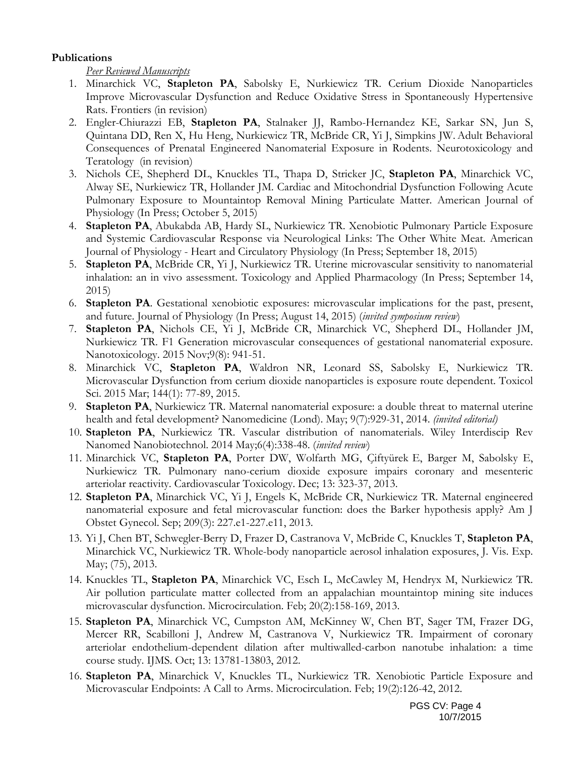# **Publications**

*Peer Reviewed Manuscripts* 

- 1. Minarchick VC, **Stapleton PA**, Sabolsky E, Nurkiewicz TR. Cerium Dioxide Nanoparticles Improve Microvascular Dysfunction and Reduce Oxidative Stress in Spontaneously Hypertensive Rats. Frontiers (in revision)
- 2. Engler-Chiurazzi EB, **Stapleton PA**, Stalnaker JJ, Rambo-Hernandez KE, Sarkar SN, Jun S, Quintana DD, Ren X, Hu Heng, Nurkiewicz TR, McBride CR, Yi J, Simpkins JW. Adult Behavioral Consequences of Prenatal Engineered Nanomaterial Exposure in Rodents. Neurotoxicology and Teratology (in revision)
- 3. Nichols CE, Shepherd DL, Knuckles TL, Thapa D, Stricker JC, **Stapleton PA**, Minarchick VC, Alway SE, Nurkiewicz TR, Hollander JM. Cardiac and Mitochondrial Dysfunction Following Acute Pulmonary Exposure to Mountaintop Removal Mining Particulate Matter. American Journal of Physiology (In Press; October 5, 2015)
- 4. **Stapleton PA**, Abukabda AB, Hardy SL, Nurkiewicz TR. Xenobiotic Pulmonary Particle Exposure and Systemic Cardiovascular Response via Neurological Links: The Other White Meat. American Journal of Physiology - Heart and Circulatory Physiology (In Press; September 18, 2015)
- 5. **Stapleton PA**, McBride CR, Yi J, Nurkiewicz TR. Uterine microvascular sensitivity to nanomaterial inhalation: an in vivo assessment. Toxicology and Applied Pharmacology (In Press; September 14, 2015)
- 6. **Stapleton PA**. Gestational xenobiotic exposures: microvascular implications for the past, present, and future. Journal of Physiology (In Press; August 14, 2015) (*invited symposium review*)
- 7. **Stapleton PA**, Nichols CE, Yi J, McBride CR, Minarchick VC, Shepherd DL, Hollander JM, Nurkiewicz TR. F1 Generation microvascular consequences of gestational nanomaterial exposure. Nanotoxicology. 2015 Nov;9(8): 941-51.
- 8. Minarchick VC, **Stapleton PA**, Waldron NR, Leonard SS, Sabolsky E, Nurkiewicz TR. Microvascular Dysfunction from cerium dioxide nanoparticles is exposure route dependent. Toxicol Sci. 2015 Mar; 144(1): 77-89, 2015.
- 9. **Stapleton PA**, Nurkiewicz TR. Maternal nanomaterial exposure: a double threat to maternal uterine health and fetal development? Nanomedicine (Lond). May; 9(7):929-31, 2014. *(invited editorial)*
- 10. **Stapleton PA**, Nurkiewicz TR. Vascular distribution of nanomaterials. Wiley Interdiscip Rev Nanomed Nanobiotechnol. 2014 May;6(4):338-48. (*invited review*)
- 11. Minarchick VC, **Stapleton PA**, Porter DW, Wolfarth MG, Çiftyürek E, Barger M, Sabolsky E, Nurkiewicz TR. Pulmonary nano-cerium dioxide exposure impairs coronary and mesenteric arteriolar reactivity. Cardiovascular Toxicology. Dec; 13: 323-37, 2013.
- 12. **Stapleton PA**, Minarchick VC, Yi J, Engels K, McBride CR, Nurkiewicz TR. Maternal engineered nanomaterial exposure and fetal microvascular function: does the Barker hypothesis apply? Am J Obstet Gynecol. Sep; 209(3): 227.e1-227.e11, 2013.
- 13. Yi J, Chen BT, Schwegler-Berry D, Frazer D, Castranova V, McBride C, Knuckles T, **Stapleton PA**, Minarchick VC, Nurkiewicz TR. Whole-body nanoparticle aerosol inhalation exposures, J. Vis. Exp. May; (75), 2013.
- 14. Knuckles TL, **Stapleton PA**, Minarchick VC, Esch L, McCawley M, Hendryx M, Nurkiewicz TR. Air pollution particulate matter collected from an appalachian mountaintop mining site induces microvascular dysfunction. Microcirculation. Feb; 20(2):158-169, 2013.
- 15. **Stapleton PA**, Minarchick VC, Cumpston AM, McKinney W, Chen BT, Sager TM, Frazer DG, Mercer RR, Scabilloni J, Andrew M, Castranova V, Nurkiewicz TR. Impairment of coronary arteriolar endothelium-dependent dilation after multiwalled-carbon nanotube inhalation: a time course study. IJMS. Oct; 13: 13781-13803, 2012.
- 16. **Stapleton PA**, Minarchick V, Knuckles TL, Nurkiewicz TR. Xenobiotic Particle Exposure and Microvascular Endpoints: A Call to Arms. Microcirculation. Feb; 19(2):126-42, 2012.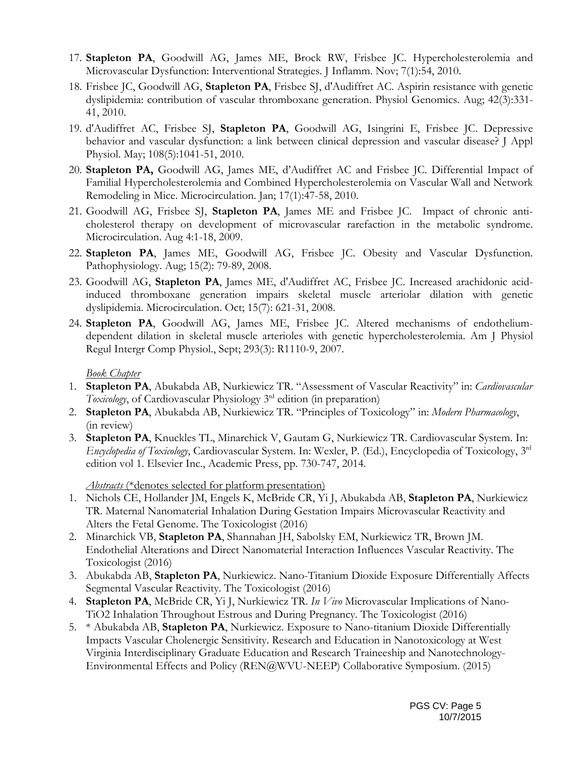- 17. **Stapleton PA**, Goodwill AG, James ME, Brock RW, Frisbee JC. Hypercholesterolemia and Microvascular Dysfunction: Interventional Strategies. J Inflamm. Nov; 7(1):54, 2010.
- 18. Frisbee JC, Goodwill AG, **Stapleton PA**, Frisbee SJ, d'Audiffret AC. Aspirin resistance with genetic dyslipidemia: contribution of vascular thromboxane generation. Physiol Genomics. Aug; 42(3):331- 41, 2010.
- 19. d'Audiffret AC, Frisbee SJ, **Stapleton PA**, Goodwill AG, Isingrini E, Frisbee JC. Depressive behavior and vascular dysfunction: a link between clinical depression and vascular disease? J Appl Physiol. May; 108(5):1041-51, 2010.
- 20. **Stapleton PA,** Goodwill AG, James ME, d'Audiffret AC and Frisbee JC. Differential Impact of Familial Hypercholesterolemia and Combined Hypercholesterolemia on Vascular Wall and Network Remodeling in Mice. Microcirculation. Jan; 17(1):47-58, 2010.
- 21. Goodwill AG, Frisbee SJ, **Stapleton PA**, James ME and Frisbee JC. Impact of chronic anticholesterol therapy on development of microvascular rarefaction in the metabolic syndrome. Microcirculation. Aug 4:1-18, 2009.
- 22. **Stapleton PA**, James ME, Goodwill AG, Frisbee JC. Obesity and Vascular Dysfunction. Pathophysiology. Aug; 15(2): 79-89, 2008.
- 23. Goodwill AG, **Stapleton PA**, James ME, d'Audiffret AC, Frisbee JC. Increased arachidonic acidinduced thromboxane generation impairs skeletal muscle arteriolar dilation with genetic dyslipidemia. Microcirculation. Oct; 15(7): 621-31, 2008.
- 24. **Stapleton PA**, Goodwill AG, James ME, Frisbee JC. Altered mechanisms of endotheliumdependent dilation in skeletal muscle arterioles with genetic hypercholesterolemia. Am J Physiol Regul Intergr Comp Physiol., Sept; 293(3): R1110-9, 2007.

### *Book Chapter*

- 1. **Stapleton PA**, Abukabda AB, Nurkiewicz TR. "Assessment of Vascular Reactivity" in: *Cardiovascular Toxicology*, of Cardiovascular Physiology 3rd edition (in preparation)
- 2. **Stapleton PA**, Abukabda AB, Nurkiewicz TR. "Principles of Toxicology" in: *Modern Pharmacology*, (in review)
- 3. **Stapleton PA**, Knuckles TL, Minarchick V, Gautam G, Nurkiewicz TR. Cardiovascular System. In: *Encyclopedia of Toxicology*, Cardiovascular System. In: Wexler, P. (Ed.), Encyclopedia of Toxicology, 3rd edition vol 1. Elsevier Inc., Academic Press, pp. 730-747, 2014.

*Abstracts* (\*denotes selected for platform presentation)

- 1. Nichols CE, Hollander JM, Engels K, McBride CR, Yi J, Abukabda AB, **Stapleton PA**, Nurkiewicz TR. Maternal Nanomaterial Inhalation During Gestation Impairs Microvascular Reactivity and Alters the Fetal Genome. The Toxicologist (2016)
- 2. Minarchick VB, **Stapleton PA**, Shannahan JH, Sabolsky EM, Nurkiewicz TR, Brown JM. Endothelial Alterations and Direct Nanomaterial Interaction Influences Vascular Reactivity. The Toxicologist (2016)
- 3. Abukabda AB, **Stapleton PA**, Nurkiewicz. Nano-Titanium Dioxide Exposure Differentially Affects Segmental Vascular Reactivity. The Toxicologist (2016)
- 4. **Stapleton PA**, McBride CR, Yi J, Nurkiewicz TR. *In Vivo* Microvascular Implications of Nano-TiO2 Inhalation Throughout Estrous and During Pregnancy. The Toxicologist (2016)
- 5. \* Abukabda AB, **Stapleton PA**, Nurkiewicz. Exposure to Nano-titanium Dioxide Differentially Impacts Vascular Cholenergic Sensitivity. Research and Education in Nanotoxicology at West Virginia Interdisciplinary Graduate Education and Research Traineeship and Nanotechnology-Environmental Effects and Policy (REN@WVU-NEEP) Collaborative Symposium. (2015)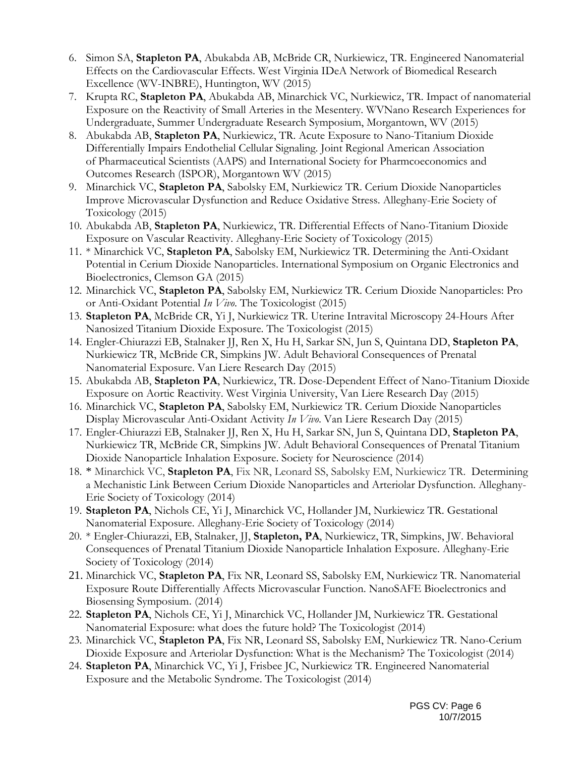- 6. Simon SA, **Stapleton PA**, Abukabda AB, McBride CR, Nurkiewicz, TR. Engineered Nanomaterial Effects on the Cardiovascular Effects. West Virginia IDeA Network of Biomedical Research Excellence (WV-INBRE), Huntington, WV (2015)
- 7. Krupta RC, **Stapleton PA**, Abukabda AB, Minarchick VC, Nurkiewicz, TR. Impact of nanomaterial Exposure on the Reactivity of Small Arteries in the Mesentery. WVNano Research Experiences for Undergraduate, Summer Undergraduate Research Symposium, Morgantown, WV (2015)
- 8. Abukabda AB, **Stapleton PA**, Nurkiewicz, TR. Acute Exposure to Nano-Titanium Dioxide Differentially Impairs Endothelial Cellular Signaling. Joint Regional American Association of Pharmaceutical Scientists (AAPS) and International Society for Pharmcoeconomics and Outcomes Research (ISPOR), Morgantown WV (2015)
- 9. Minarchick VC, **Stapleton PA**, Sabolsky EM, Nurkiewicz TR. Cerium Dioxide Nanoparticles Improve Microvascular Dysfunction and Reduce Oxidative Stress. Alleghany-Erie Society of Toxicology (2015)
- 10. Abukabda AB, **Stapleton PA**, Nurkiewicz, TR. Differential Effects of Nano-Titanium Dioxide Exposure on Vascular Reactivity. Alleghany-Erie Society of Toxicology (2015)
- 11. \* Minarchick VC, **Stapleton PA**, Sabolsky EM, Nurkiewicz TR. Determining the Anti-Oxidant Potential in Cerium Dioxide Nanoparticles. International Symposium on Organic Electronics and Bioelectronics, Clemson GA (2015)
- 12. Minarchick VC, **Stapleton PA**, Sabolsky EM, Nurkiewicz TR. Cerium Dioxide Nanoparticles: Pro or Anti-Oxidant Potential *In Vivo*. The Toxicologist (2015)
- 13. **Stapleton PA**, McBride CR, Yi J, Nurkiewicz TR. Uterine Intravital Microscopy 24-Hours After Nanosized Titanium Dioxide Exposure. The Toxicologist (2015)
- 14. Engler-Chiurazzi EB, Stalnaker JJ, Ren X, Hu H, Sarkar SN, Jun S, Quintana DD, **Stapleton PA**, Nurkiewicz TR, McBride CR, Simpkins JW. Adult Behavioral Consequences of Prenatal Nanomaterial Exposure. Van Liere Research Day (2015)
- 15. Abukabda AB, **Stapleton PA**, Nurkiewicz, TR. Dose-Dependent Effect of Nano-Titanium Dioxide Exposure on Aortic Reactivity. West Virginia University, Van Liere Research Day (2015)
- 16. Minarchick VC, **Stapleton PA**, Sabolsky EM, Nurkiewicz TR. Cerium Dioxide Nanoparticles Display Microvascular Anti-Oxidant Activity *In Vivo*. Van Liere Research Day (2015)
- 17. Engler-Chiurazzi EB, Stalnaker JJ, Ren X, Hu H, Sarkar SN, Jun S, Quintana DD, **Stapleton PA**, Nurkiewicz TR, McBride CR, Simpkins JW. Adult Behavioral Consequences of Prenatal Titanium Dioxide Nanoparticle Inhalation Exposure. Society for Neuroscience (2014)
- 18. \* Minarchick VC, **Stapleton PA**, Fix NR, Leonard SS, Sabolsky EM, Nurkiewicz TR. Determining a Mechanistic Link Between Cerium Dioxide Nanoparticles and Arteriolar Dysfunction. Alleghany-Erie Society of Toxicology (2014)
- 19. **Stapleton PA**, Nichols CE, Yi J, Minarchick VC, Hollander JM, Nurkiewicz TR. Gestational Nanomaterial Exposure. Alleghany-Erie Society of Toxicology (2014)
- 20. \* Engler-Chiurazzi, EB, Stalnaker, JJ, **Stapleton, PA**, Nurkiewicz, TR, Simpkins, JW. Behavioral Consequences of Prenatal Titanium Dioxide Nanoparticle Inhalation Exposure. Alleghany-Erie Society of Toxicology (2014)
- 21. Minarchick VC, **Stapleton PA**, Fix NR, Leonard SS, Sabolsky EM, Nurkiewicz TR. Nanomaterial Exposure Route Differentially Affects Microvascular Function. NanoSAFE Bioelectronics and Biosensing Symposium. (2014)
- 22. **Stapleton PA**, Nichols CE, Yi J, Minarchick VC, Hollander JM, Nurkiewicz TR. Gestational Nanomaterial Exposure: what does the future hold? The Toxicologist (2014)
- 23. Minarchick VC, **Stapleton PA**, Fix NR, Leonard SS, Sabolsky EM, Nurkiewicz TR. Nano-Cerium Dioxide Exposure and Arteriolar Dysfunction: What is the Mechanism? The Toxicologist (2014)
- 24. **Stapleton PA**, Minarchick VC, Yi J, Frisbee JC, Nurkiewicz TR. Engineered Nanomaterial Exposure and the Metabolic Syndrome. The Toxicologist (2014)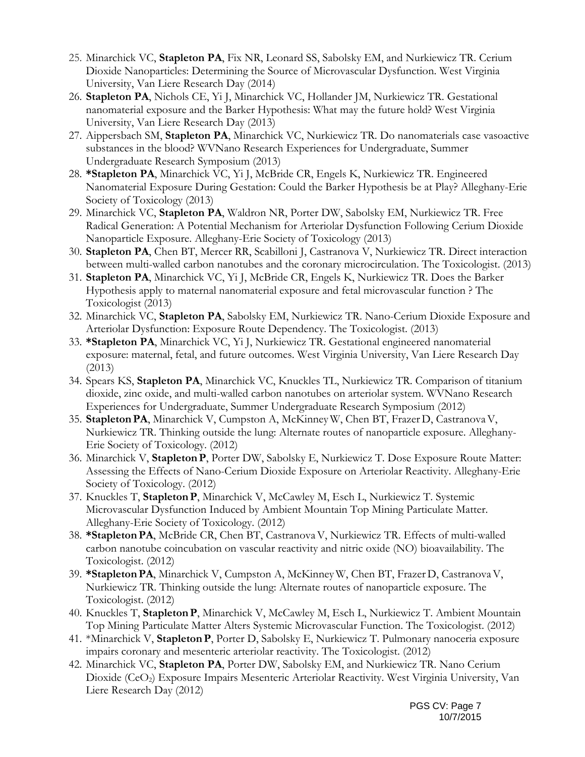- 25. Minarchick VC, **Stapleton PA**, Fix NR, Leonard SS, Sabolsky EM, and Nurkiewicz TR. Cerium Dioxide Nanoparticles: Determining the Source of Microvascular Dysfunction. West Virginia University, Van Liere Research Day (2014)
- 26. **Stapleton PA**, Nichols CE, Yi J, Minarchick VC, Hollander JM, Nurkiewicz TR. Gestational nanomaterial exposure and the Barker Hypothesis: What may the future hold? West Virginia University, Van Liere Research Day (2013)
- 27. Aippersbach SM, **Stapleton PA**, Minarchick VC, Nurkiewicz TR. Do nanomaterials case vasoactive substances in the blood? WVNano Research Experiences for Undergraduate, Summer Undergraduate Research Symposium (2013)
- 28. **\*Stapleton PA**, Minarchick VC, Yi J, McBride CR, Engels K, Nurkiewicz TR. Engineered Nanomaterial Exposure During Gestation: Could the Barker Hypothesis be at Play? Alleghany-Erie Society of Toxicology (2013)
- 29. Minarchick VC, **Stapleton PA**, Waldron NR, Porter DW, Sabolsky EM, Nurkiewicz TR. Free Radical Generation: A Potential Mechanism for Arteriolar Dysfunction Following Cerium Dioxide Nanoparticle Exposure. Alleghany-Erie Society of Toxicology (2013)
- 30. **Stapleton PA**, Chen BT, Mercer RR, Scabilloni J, Castranova V, Nurkiewicz TR. Direct interaction between multi-walled carbon nanotubes and the coronary microcirculation. The Toxicologist. (2013)
- 31. **Stapleton PA**, Minarchick VC, Yi J, McBride CR, Engels K, Nurkiewicz TR. Does the Barker Hypothesis apply to maternal nanomaterial exposure and fetal microvascular function ? The Toxicologist (2013)
- 32. Minarchick VC, **Stapleton PA**, Sabolsky EM, Nurkiewicz TR. Nano-Cerium Dioxide Exposure and Arteriolar Dysfunction: Exposure Route Dependency. The Toxicologist. (2013)
- 33. **\*Stapleton PA**, Minarchick VC, Yi J, Nurkiewicz TR. Gestational engineered nanomaterial exposure: maternal, fetal, and future outcomes. West Virginia University, Van Liere Research Day (2013)
- 34. Spears KS, **Stapleton PA**, Minarchick VC, Knuckles TL, Nurkiewicz TR. Comparison of titanium dioxide, zinc oxide, and multi-walled carbon nanotubes on arteriolar system. WVNano Research Experiences for Undergraduate, Summer Undergraduate Research Symposium (2012)
- 35. **StapletonPA**, Minarchick V, Cumpston A, McKinneyW, Chen BT, FrazerD, CastranovaV, Nurkiewicz TR. Thinking outside the lung: Alternate routes of nanoparticle exposure. Alleghany-Erie Society of Toxicology. (2012)
- 36. Minarchick V, **StapletonP**, Porter DW, Sabolsky E, Nurkiewicz T. Dose Exposure Route Matter: Assessing the Effects of Nano-Cerium Dioxide Exposure on Arteriolar Reactivity. Alleghany-Erie Society of Toxicology. (2012)
- 37. Knuckles T, **StapletonP**, Minarchick V, McCawley M, Esch L, Nurkiewicz T. Systemic Microvascular Dysfunction Induced by Ambient Mountain Top Mining Particulate Matter. Alleghany-Erie Society of Toxicology. (2012)
- 38. **\*StapletonPA**, McBride CR, Chen BT, CastranovaV, Nurkiewicz TR. Effects of multi-walled carbon nanotube coincubation on vascular reactivity and nitric oxide (NO) bioavailability. The Toxicologist. (2012)
- 39. **\*StapletonPA**, Minarchick V, Cumpston A, McKinneyW, Chen BT, FrazerD, CastranovaV, Nurkiewicz TR. Thinking outside the lung: Alternate routes of nanoparticle exposure. The Toxicologist. (2012)
- 40. Knuckles T, **StapletonP**, Minarchick V, McCawley M, Esch L, Nurkiewicz T. Ambient Mountain Top Mining Particulate Matter Alters Systemic Microvascular Function. The Toxicologist. (2012)
- 41. \*Minarchick V, **StapletonP**, Porter D, Sabolsky E, Nurkiewicz T. Pulmonary nanoceria exposure impairs coronary and mesenteric arteriolar reactivity. The Toxicologist. (2012)
- 42. Minarchick VC, **Stapleton PA**, Porter DW, Sabolsky EM, and Nurkiewicz TR. Nano Cerium Dioxide (CeO2) Exposure Impairs Mesenteric Arteriolar Reactivity. West Virginia University, Van Liere Research Day (2012)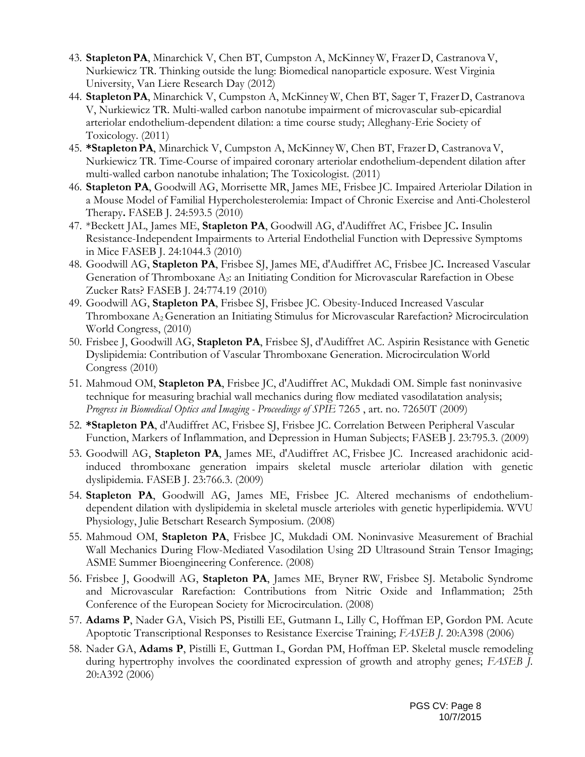- 43. **StapletonPA**, Minarchick V, Chen BT, Cumpston A, McKinneyW, FrazerD, CastranovaV, Nurkiewicz TR. Thinking outside the lung: Biomedical nanoparticle exposure. West Virginia University, Van Liere Research Day (2012)
- 44. **StapletonPA**, Minarchick V, Cumpston A, McKinneyW, Chen BT, Sager T, FrazerD, Castranova V, Nurkiewicz TR. Multi-walled carbon nanotube impairment of microvascular sub-epicardial arteriolar endothelium-dependent dilation: a time course study; Alleghany-Erie Society of Toxicology. (2011)
- 45. **\*StapletonPA**, Minarchick V, Cumpston A, McKinneyW, Chen BT, FrazerD, CastranovaV, Nurkiewicz TR. Time-Course of impaired coronary arteriolar endothelium-dependent dilation after multi-walled carbon nanotube inhalation; The Toxicologist. (2011)
- 46. **Stapleton PA**, Goodwill AG, Morrisette MR, James ME, Frisbee JC. Impaired Arteriolar Dilation in a Mouse Model of Familial Hypercholesterolemia: Impact of Chronic Exercise and Anti-Cholesterol Therapy**.** FASEB J. 24:593.5 (2010)
- 47. \*Beckett JAL, James ME, **Stapleton PA**, Goodwill AG, d'Audiffret AC, Frisbee JC**.** Insulin Resistance-Independent Impairments to Arterial Endothelial Function with Depressive Symptoms in Mice FASEB J. 24:1044.3 (2010)
- 48. Goodwill AG, **Stapleton PA**, Frisbee SJ, James ME, d'Audiffret AC, Frisbee JC**.** Increased Vascular Generation of Thromboxane A2: an Initiating Condition for Microvascular Rarefaction in Obese Zucker Rats? FASEB J. 24:774.19 (2010)
- 49. Goodwill AG, **Stapleton PA**, Frisbee SJ, Frisbee JC. Obesity-Induced Increased Vascular Thromboxane A2 Generation an Initiating Stimulus for Microvascular Rarefaction? Microcirculation World Congress, (2010)
- 50. Frisbee J, Goodwill AG, **Stapleton PA**, Frisbee SJ, d'Audiffret AC. Aspirin Resistance with Genetic Dyslipidemia: Contribution of Vascular Thromboxane Generation. Microcirculation World Congress (2010)
- 51. Mahmoud OM, **Stapleton PA**, Frisbee JC, d'Audiffret AC, Mukdadi OM. Simple fast noninvasive technique for measuring brachial wall mechanics during flow mediated vasodilatation analysis; *Progress in Biomedical Optics and Imaging - Proceedings of SPIE* 7265 , art. no. 72650T (2009)
- 52. **\*Stapleton PA**, d'Audiffret AC, Frisbee SJ, Frisbee JC. Correlation Between Peripheral Vascular Function, Markers of Inflammation, and Depression in Human Subjects; FASEB J. 23:795.3. (2009)
- 53. Goodwill AG, **Stapleton PA**, James ME, d'Audiffret AC, Frisbee JC. Increased arachidonic acidinduced thromboxane generation impairs skeletal muscle arteriolar dilation with genetic dyslipidemia. FASEB J. 23:766.3. (2009)
- 54. **Stapleton PA**, Goodwill AG, James ME, Frisbee JC. Altered mechanisms of endotheliumdependent dilation with dyslipidemia in skeletal muscle arterioles with genetic hyperlipidemia. WVU Physiology, Julie Betschart Research Symposium. (2008)
- 55. Mahmoud OM, **Stapleton PA**, Frisbee JC, Mukdadi OM. Noninvasive Measurement of Brachial Wall Mechanics During Flow-Mediated Vasodilation Using 2D Ultrasound Strain Tensor Imaging; ASME Summer Bioengineering Conference. (2008)
- 56. Frisbee J, Goodwill AG, **Stapleton PA**, James ME, Bryner RW, Frisbee SJ. Metabolic Syndrome and Microvascular Rarefaction: Contributions from Nitric Oxide and Inflammation; 25th Conference of the European Society for Microcirculation. (2008)
- 57. **Adams P**, Nader GA, Visich PS, Pistilli EE, Gutmann L, Lilly C, Hoffman EP, Gordon PM. Acute Apoptotic Transcriptional Responses to Resistance Exercise Training; *FASEB J.* 20:A398 (2006)
- 58. Nader GA, **Adams P**, Pistilli E, Guttman L, Gordan PM, Hoffman EP. Skeletal muscle remodeling during hypertrophy involves the coordinated expression of growth and atrophy genes; *FASEB J.* 20:A392 (2006)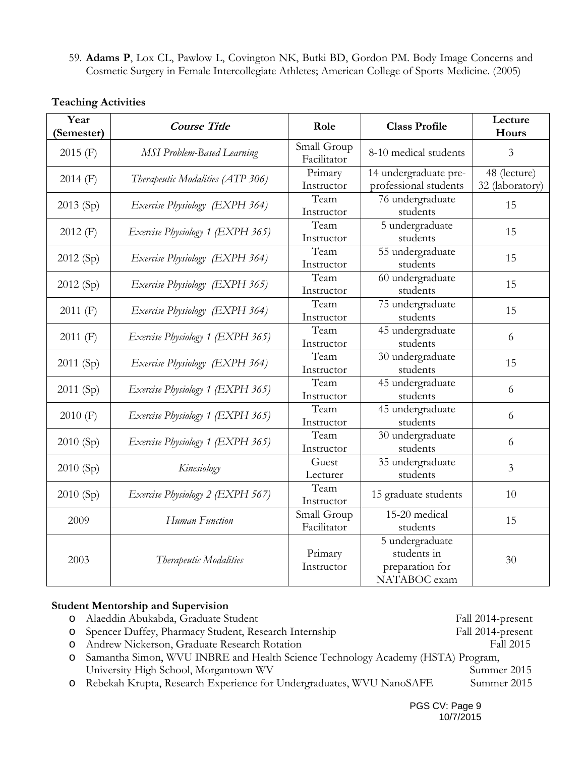59. **Adams P**, Lox CL, Pawlow L, Covington NK, Butki BD, Gordon PM. Body Image Concerns and Cosmetic Surgery in Female Intercollegiate Athletes; American College of Sports Medicine. (2005)

| Year<br>(Semester) | <b>Course Title</b>               | Role                       | <b>Class Profile</b>                                              | Lecture<br>Hours                |
|--------------------|-----------------------------------|----------------------------|-------------------------------------------------------------------|---------------------------------|
| $2015$ (F)         | <b>MSI</b> Problem-Based Learning | Small Group<br>Facilitator | 8-10 medical students                                             | 3                               |
| $2014$ (F)         | Therapeutic Modalities (ATP 306)  | Primary<br>Instructor      | 14 undergraduate pre-<br>professional students                    | 48 (lecture)<br>32 (laboratory) |
| 2013 (Sp)          | Exercise Physiology (EXPH 364)    | Team<br>Instructor         | 76 undergraduate<br>students                                      | 15                              |
| $2012$ (F)         | Exercise Physiology 1 (EXPH 365)  | Team<br>Instructor         | 5 undergraduate<br>students                                       | 15                              |
| $2012$ (Sp)        | Exercise Physiology (EXPH 364)    | Team<br>Instructor         | 55 undergraduate<br>students                                      | 15                              |
| $2012$ (Sp)        | Exercise Physiology (EXPH 365)    | Team<br>Instructor         | $60$ undergraduate<br>students                                    | 15                              |
| $2011$ (F)         | Exercise Physiology (EXPH 364)    | Team<br>Instructor         | 75 undergraduate<br>students                                      | 15                              |
| 2011 (F)           | Exercise Physiology 1 (EXPH 365)  | Team<br>Instructor         | 45 undergraduate<br>students                                      | 6                               |
| 2011 (Sp)          | Exercise Physiology (EXPH 364)    | Team<br>Instructor         | 30 undergraduate<br>students                                      | 15                              |
| $2011$ (Sp)        | Exercise Physiology 1 (EXPH 365)  | Team<br>Instructor         | 45 undergraduate<br>students                                      | 6                               |
| $2010$ (F)         | Exercise Physiology 1 (EXPH 365)  | Team<br>Instructor         | 45 undergraduate<br>students                                      | 6                               |
| 2010(Sp)           | Exercise Physiology 1 (EXPH 365)  | Team<br>Instructor         | 30 undergraduate<br>students                                      | 6                               |
| 2010 (Sp)          | Kinesiology                       | Guest<br>Lecturer          | $35$ undergraduate<br>students                                    | $\mathfrak{Z}$                  |
| 2010 (Sp)          | Exercise Physiology 2 (EXPH 567)  | Team<br>Instructor         | 15 graduate students                                              | 10                              |
| 2009               | Human Function                    | Small Group<br>Facilitator | 15-20 medical<br>students                                         | 15                              |
| 2003               | Therapeutic Modalities            | Primary<br>Instructor      | 5 undergraduate<br>students in<br>preparation for<br>NATABOC exam | 30                              |

# **Teaching Activities**

# **Student Mentorship and Supervision**

| o Alaeddin Abukabda, Graduate Student                   | Fall 2014-present          |
|---------------------------------------------------------|----------------------------|
| o Spencer Duffey, Pharmacy Student, Research Internship | Fall 2014-present          |
| o Andrew Nickerson, Graduate Research Rotation          | Fall 2015                  |
| $\alpha$ 1 $\alpha$ WITH DE 111 0                       | $(TT$ $OH$ $A \setminus T$ |

o Samantha Simon, WVU INBRE and Health Science Technology Academy (HSTA) Program, University High School, Morgantown WV Summer 2015

o Rebekah Krupta, Research Experience for Undergraduates, WVU NanoSAFE Summer 2015

PGS CV: Page 9 10/7/2015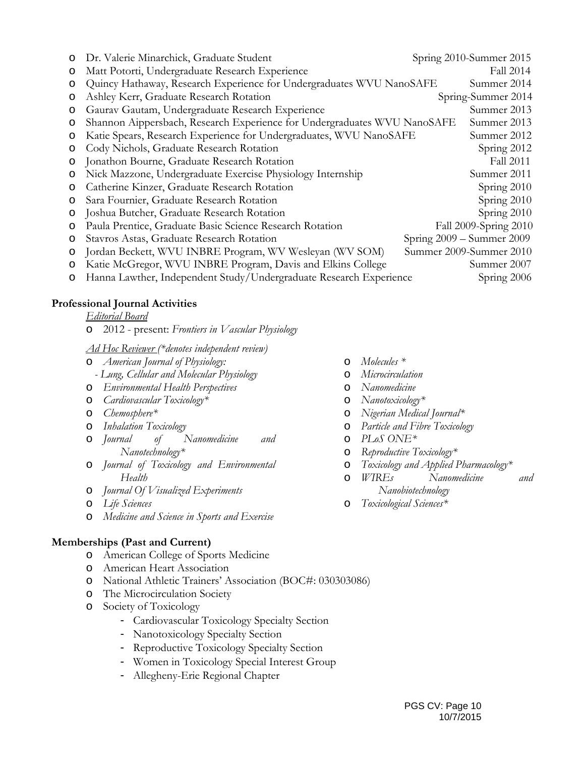| $\circ$ | Dr. Valerie Minarchick, Graduate Student                                 | Spring 2010-Summer 2015       |
|---------|--------------------------------------------------------------------------|-------------------------------|
| O       | Matt Potorti, Undergraduate Research Experience                          | Fall 2014                     |
| O       | Quincy Hathaway, Research Experience for Undergraduates WVU NanoSAFE     | Summer 2014                   |
| $\circ$ | Ashley Kerr, Graduate Research Rotation                                  | Spring-Summer 2014            |
| O       | Gaurav Gautam, Undergraduate Research Experience                         | Summer 2013                   |
| O       | Shannon Aippersbach, Research Experience for Undergraduates WVU NanoSAFE | Summer 2013                   |
| $\circ$ | Katie Spears, Research Experience for Undergraduates, WVU NanoSAFE       | Summer 2012                   |
| O       | Cody Nichols, Graduate Research Rotation                                 | Spring 2012                   |
| O       | Jonathon Bourne, Graduate Research Rotation                              | Fall 2011                     |
| $\circ$ | Nick Mazzone, Undergraduate Exercise Physiology Internship               | Summer 2011                   |
| O       | Catherine Kinzer, Graduate Research Rotation                             | Spring 2010                   |
| O       | Sara Fournier, Graduate Research Rotation                                | Spring 2010                   |
| O       | Joshua Butcher, Graduate Research Rotation                               | Spring 2010                   |
| O       | Paula Prentice, Graduate Basic Science Research Rotation                 | Fall 2009-Spring 2010         |
| O       | Stavros Astas, Graduate Research Rotation                                | Spring $2009 -$ Summer $2009$ |
| O       | Jordan Beckett, WVU INBRE Program, WV Wesleyan (WV SOM)                  | Summer 2009-Summer 2010       |
| $\circ$ | Katie McGregor, WVU INBRE Program, Davis and Elkins College              | Summer 2007                   |
|         | Hanna Lawther, Independent Study/Undergraduate Research Experience       | Spring 2006                   |

## **Professional Journal Activities**

#### *Editorial Board*

o 2012 - present: *Frontiers in Vascular Physiology*

#### *Ad Hoc Reviewer (\*denotes independent review)*

- o *American Journal of Physiology: - Lung, Cellular and Molecular Physiology*
- 
- o *Environmental Health Perspectives*  o *Cardiovascular Toxicology\**
- 
- o *Chemosphere\**
- o *Inhalation Toxicology*
- o *Journal of Nanomedicine and Nanotechnology\**
- o *Journal of Toxicology and Environmental Health*
- o *Journal Of Visualized Experiments*
- o *Life Sciences*
- o *Medicine and Science in Sports and Exercise*

## **Memberships (Past and Current)**

- o American College of Sports Medicine
- o American Heart Association
- o National Athletic Trainers' Association (BOC#: 030303086)
- o The Microcirculation Society
- o Society of Toxicology
	- Cardiovascular Toxicology Specialty Section
	- Nanotoxicology Specialty Section
	- Reproductive Toxicology Specialty Section
	- Women in Toxicology Special Interest Group
	- Allegheny-Erie Regional Chapter
- o *Molecules \**
- o *Microcirculation*
- o *Nanomedicine*
- o *Nanotoxicology\**
- o *Nigerian Medical Journal\**
- o *Particle and Fibre Toxicology*
- o *PLoS ONE\**
- o *Reproductive Toxicology\**
- o *Toxicology and Applied Pharmacology\**
- o *WIREs Nanomedicine and Nanobiotechnology*
- o *Toxicological Sciences\**